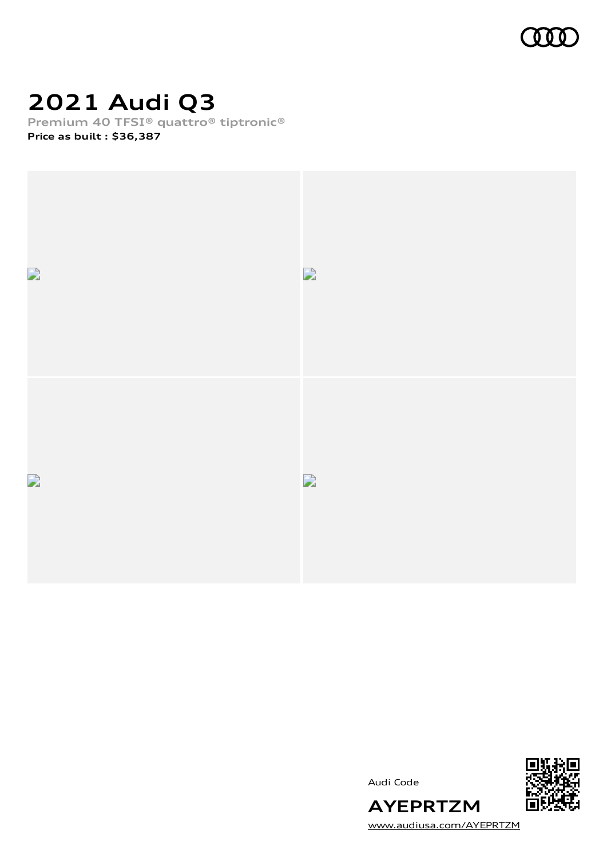

### **2021 Audi Q3**

**Premium 40 TFSI® quattro® tiptronic®**

**Price as built [:](#page-10-0) \$36,387**





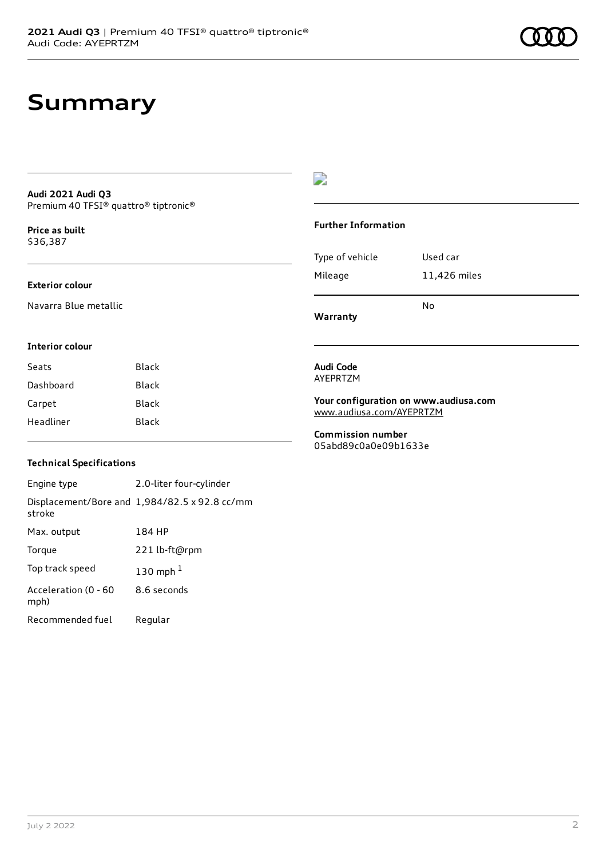### **Summary**

#### **Audi 2021 Audi Q3** Premium 40 TFSI® quattro® tiptronic®

**Price as buil[t](#page-10-0)** \$36,387

#### **Exterior colour**

Navarra Blue metallic

### D

#### **Further Information**

|                 | N٥           |
|-----------------|--------------|
| Mileage         | 11,426 miles |
| Type of vehicle | Used car     |

**Warranty**

#### **Interior colour**

| Black |
|-------|
| Black |
| Black |
| Black |
|       |

### **Technical Specifications**

Engine type 2.0-liter four-cylinder Displacement/Bore and 1,984/82.5 x 92.8 cc/mm stroke Max. output 184 HP Torque 221 lb-ft@rpm Top track speed [1](#page-10-0)30 mph $<sup>1</sup>$ </sup> Acceleration (0 - 60 mph) 8.6 seconds Recommended fuel Regular

#### **Audi Code** AYEPRTZM

**Your configuration on www.audiusa.com** [www.audiusa.com/AYEPRTZM](https://www.audiusa.com/AYEPRTZM)

**Commission number** 05abd89c0a0e09b1633e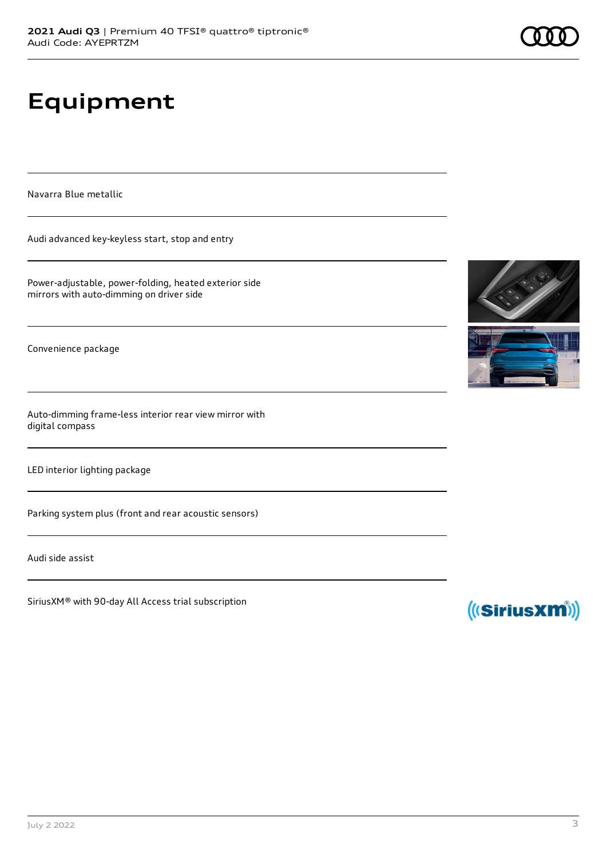# **Equipment**

Navarra Blue metallic

Audi advanced key-keyless start, stop and entry

Power-adjustable, power-folding, heated exterior side mirrors with auto-dimming on driver side

Convenience package

Auto-dimming frame-less interior rear view mirror with digital compass

LED interior lighting package

Parking system plus (front and rear acoustic sensors)

Audi side assist

SiriusXM® with 90-day All Access trial subscription





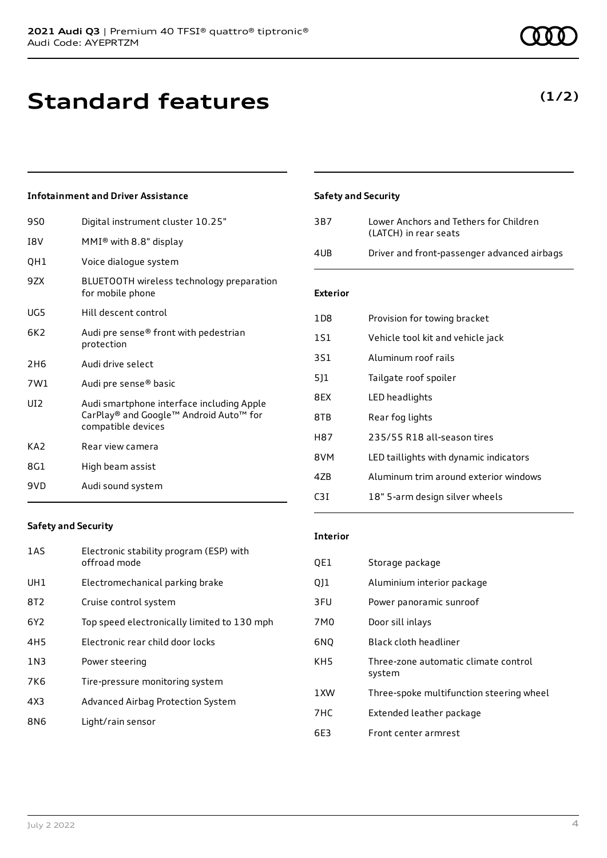### **Standard features**

### **Infotainment and Driver Assistance**

| 9S0             | Digital instrument cluster 10.25"                                                                         |
|-----------------|-----------------------------------------------------------------------------------------------------------|
| I8V             | $MMI®$ with 8.8" display                                                                                  |
| QH1             | Voice dialogue system                                                                                     |
| 9ZX             | BLUETOOTH wireless technology preparation<br>for mobile phone                                             |
| UG5             | Hill descent control                                                                                      |
| 6K2             | Audi pre sense® front with pedestrian<br>protection                                                       |
| 2H6             | Audi drive select                                                                                         |
| 7W1             | Audi pre sense® basic                                                                                     |
| UI <sub>2</sub> | Audi smartphone interface including Apple<br>CarPlay® and Google™ Android Auto™ for<br>compatible devices |
| KA2             | Rear view camera                                                                                          |
| 8G1             | High beam assist                                                                                          |
| 9VD             | Audi sound system                                                                                         |

### **Safety and Security**

| 3B7 | Lower Anchors and Tethers for Children<br>(LATCH) in rear seats |
|-----|-----------------------------------------------------------------|
| 4UB | Driver and front-passenger advanced airbags                     |

### **Exterior**

| 1D8 | Provision for towing bracket           |
|-----|----------------------------------------|
| 1S1 | Vehicle tool kit and vehicle jack      |
| 3S1 | Aluminum roof rails                    |
| 511 | Tailgate roof spoiler                  |
| 8EX | LED headlights                         |
| 8TB | Rear fog lights                        |
| H87 | 235/55 R18 all-season tires            |
| 8VM | LED taillights with dynamic indicators |
| 47B | Aluminum trim around exterior windows  |
| C3I | 18" 5-arm design silver wheels         |

#### **Safety and Security**

| 1AS             | Electronic stability program (ESP) with<br>offroad mode |
|-----------------|---------------------------------------------------------|
| UH1             | Electromechanical parking brake                         |
| 8T <sub>2</sub> | Cruise control system                                   |
| 6Y <sub>2</sub> | Top speed electronically limited to 130 mph             |
| 4H <sub>5</sub> | Electronic rear child door locks                        |
| 1N3             | Power steering                                          |
| 7K6             | Tire-pressure monitoring system                         |
| 4X3             | Advanced Airbag Protection System                       |
| 8N6             | Light/rain sensor                                       |

#### **Interior**

| QE1             | Storage package                                |
|-----------------|------------------------------------------------|
| QJ1             | Aluminium interior package                     |
| 3FU             | Power panoramic sunroof                        |
| 7M0             | Door sill inlays                               |
| 6NQ             | Black cloth headliner                          |
| KH <sub>5</sub> | Three-zone automatic climate control<br>system |
| 1XW             | Three-spoke multifunction steering wheel       |
| 7HC             | Extended leather package                       |
| 6E3             | Front center armrest                           |

### **(1/2)**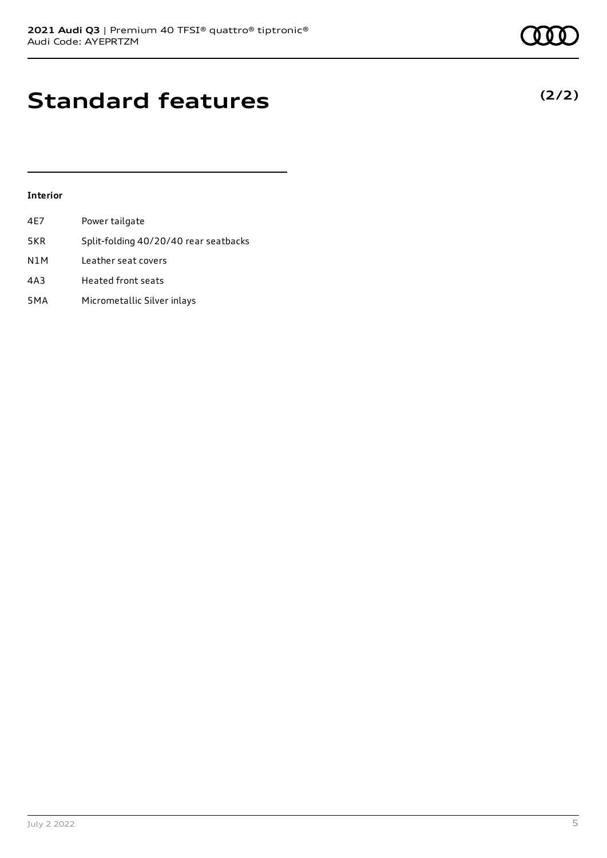### **Standard features**

### **Interior**

| 4E7 | Power tailgate                        |
|-----|---------------------------------------|
| 5KR | Split-folding 40/20/40 rear seatbacks |
| N1M | Leather seat covers                   |
| 4A3 | <b>Heated front seats</b>             |
| 5MA | Micrometallic Silver inlays           |

**(2/2)**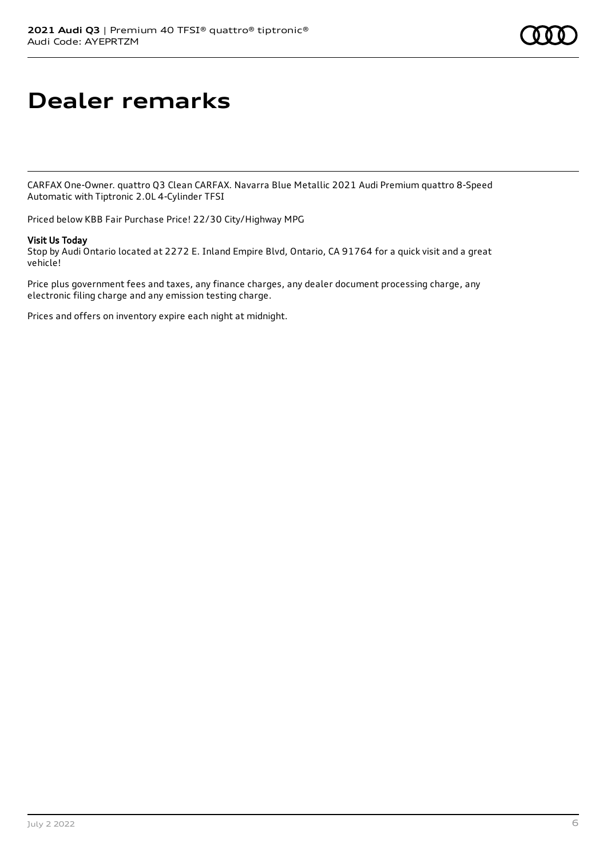# **Dealer remarks**

CARFAX One-Owner. quattro Q3 Clean CARFAX. Navarra Blue Metallic 2021 Audi Premium quattro 8-Speed Automatic with Tiptronic 2.0L 4-Cylinder TFSI

Priced below KBB Fair Purchase Price! 22/30 City/Highway MPG

### Visit Us Today

Stop by Audi Ontario located at 2272 E. Inland Empire Blvd, Ontario, CA 91764 for a quick visit and a great vehicle!

Price plus government fees and taxes, any finance charges, any dealer document processing charge, any electronic filing charge and any emission testing charge.

Prices and offers on inventory expire each night at midnight.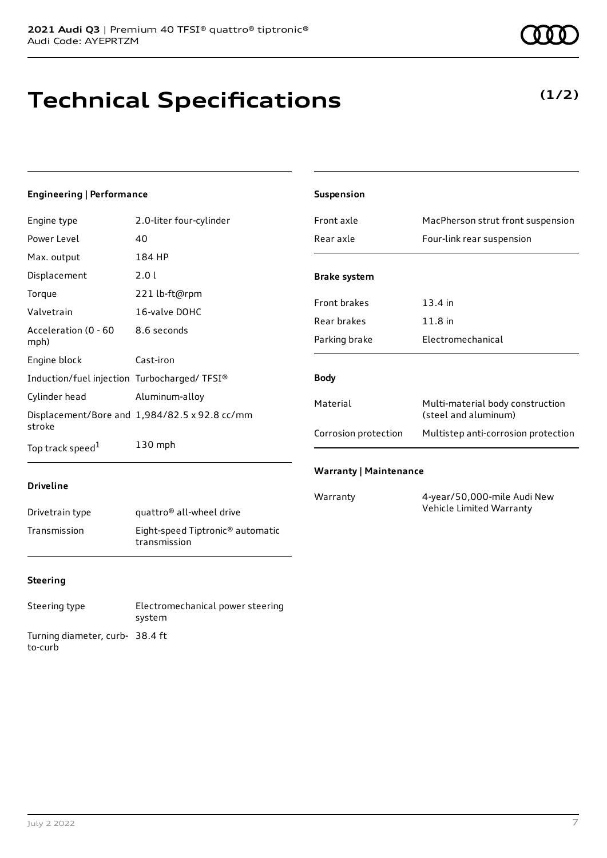# **Technical Specifications**

**(1/2)**

#### **Engineering | Performance** Engine type 2.0-liter four-cylinder Power Level 40 Max. output 184 HP Displacement 2.0 l Torque 221 lb-ft@rpm Valvetrain 16-valve DOHC Acceleration (0 - 60 mph) 8.6 seconds Engine block Cast-iron Induction/fuel injection Turbocharged/ TFSI® Cylinder head Aluminum-alloy Displacement/Bore and 1,984/82.5 x 92.8 cc/mm stroke Top track speed<sup>1</sup> [1](#page-10-0) 130 mph **Driveline Suspension** Front axle MacPherson strut front suspension Rear axle Four-link rear suspension **Brake system** Front brakes 13.4 in Rear brakes 11.8 in Parking brake Electromechanical **Body** Material Multi-material body construction (steel and aluminum) Corrosion protection Multistep anti-corrosion protection **Warranty | Maintenance** Warranty 4-year/50,000-mile Audi New

| Drivetrain type | quattro <sup>®</sup> all-wheel drive                         |
|-----------------|--------------------------------------------------------------|
| Transmission    | Eight-speed Tiptronic <sup>®</sup> automatic<br>transmission |

### **Steering**

Steering type Electromechanical power steering system Turning diameter, curb-38.4 ft to-curb

Vehicle Limited Warranty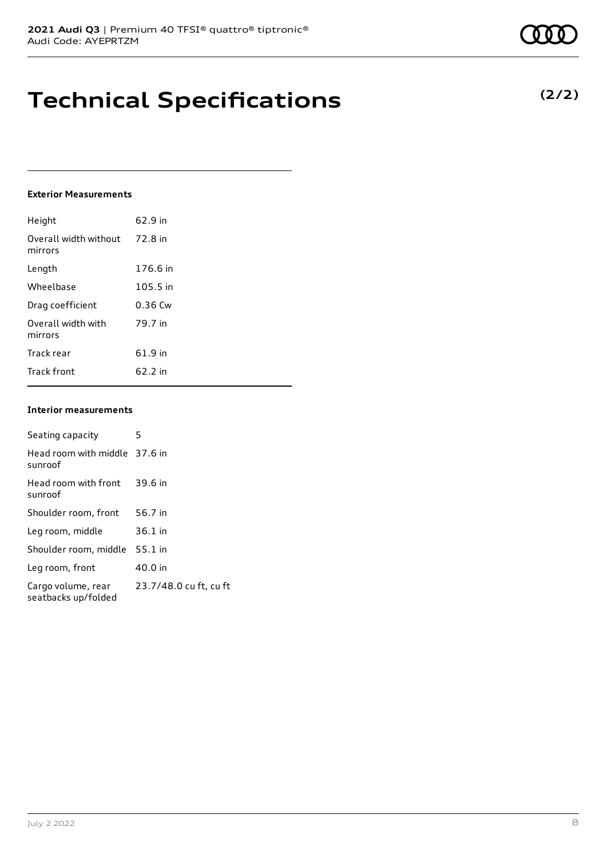### **Technical Specifications**

### **Exterior Measurements**

| Height                           | 62.9 in   |
|----------------------------------|-----------|
| Overall width without<br>mirrors | 72.8 in   |
| Length                           | 176.6 in  |
| Wheelbase                        | 105.5 in  |
| Drag coefficient                 | $0.36$ Cw |
| Overall width with<br>mirrors    | 79.7 in   |
| Track rear                       | 61.9 in   |
| <b>Track front</b>               | 62.2 in   |

#### **Interior measurements**

| Seating capacity                          | 5                      |
|-------------------------------------------|------------------------|
| Head room with middle 37.6 in<br>sunroof  |                        |
| Head room with front<br>sunroof           | 39.6 in                |
| Shoulder room, front                      | 56.7 in                |
| Leg room, middle                          | $36.1$ in              |
| Shoulder room, middle                     | $55.1$ in              |
| Leg room, front                           | 40.0 in                |
| Cargo volume, rear<br>seatbacks up/folded | 23.7/48.0 cu ft, cu ft |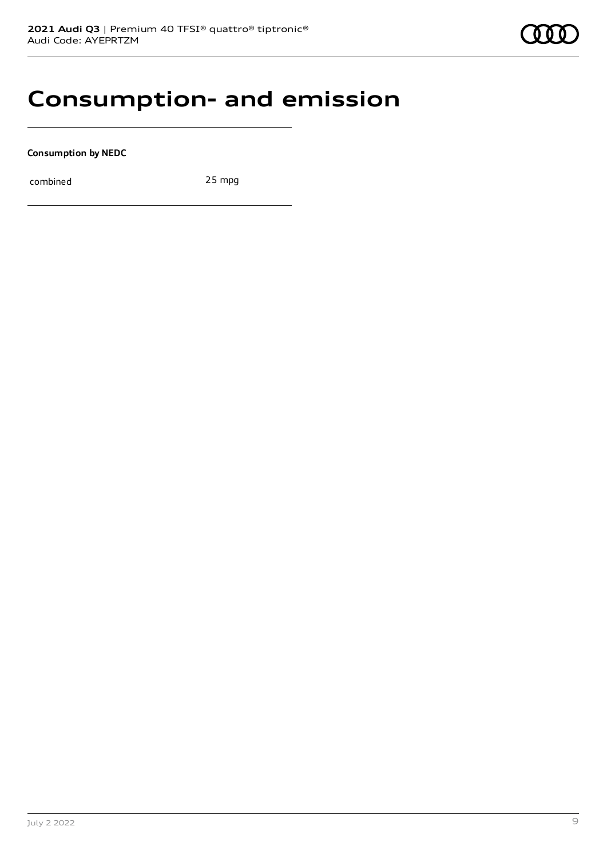### **Consumption- and emission**

**Consumption by NEDC**

combined 25 mpg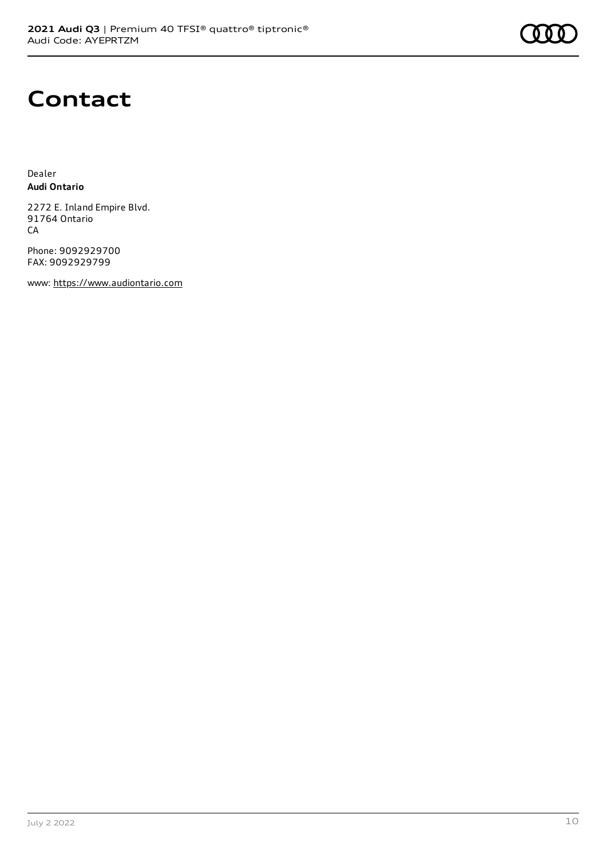

### **Contact**

Dealer **Audi Ontario**

2272 E. Inland Empire Blvd. 91764 Ontario CA

Phone: 9092929700 FAX: 9092929799

www: [https://www.audiontario.com](https://www.audiontario.com/)